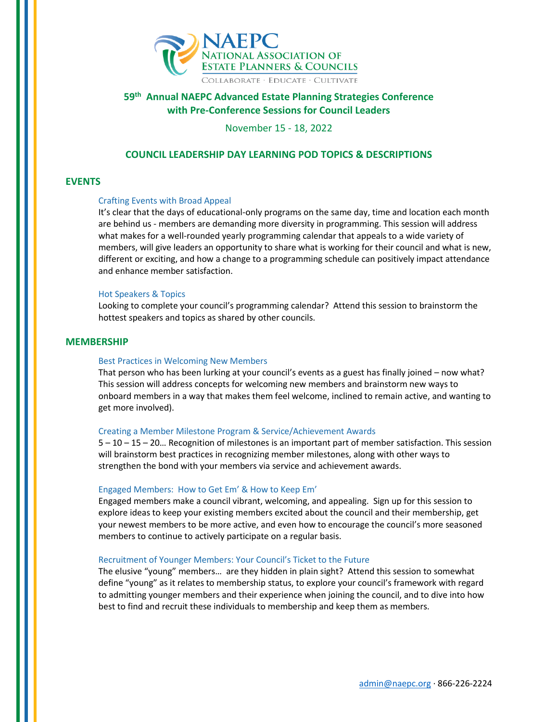

# **59th Annual NAEPC Advanced Estate Planning Strategies Conference with Pre-Conference Sessions for Council Leaders**

November 15 - 18, 2022

# **COUNCIL LEADERSHIP DAY LEARNING POD TOPICS & DESCRIPTIONS**

# **EVENTS**

# Crafting Events with Broad Appeal

It's clear that the days of educational-only programs on the same day, time and location each month are behind us - members are demanding more diversity in programming. This session will address what makes for a well-rounded yearly programming calendar that appeals to a wide variety of members, will give leaders an opportunity to share what is working for their council and what is new, different or exciting, and how a change to a programming schedule can positively impact attendance and enhance member satisfaction.

#### Hot Speakers & Topics

Looking to complete your council's programming calendar? Attend this session to brainstorm the hottest speakers and topics as shared by other councils.

### **MEMBERSHIP**

# Best Practices in Welcoming New Members

That person who has been lurking at your council's events as a guest has finally joined – now what? This session will address concepts for welcoming new members and brainstorm new ways to onboard members in a way that makes them feel welcome, inclined to remain active, and wanting to get more involved).

#### Creating a Member Milestone Program & Service/Achievement Awards

5 – 10 – 15 – 20… Recognition of milestones is an important part of member satisfaction. This session will brainstorm best practices in recognizing member milestones, along with other ways to strengthen the bond with your members via service and achievement awards.

#### Engaged Members: How to Get Em' & How to Keep Em'

Engaged members make a council vibrant, welcoming, and appealing. Sign up for this session to explore ideas to keep your existing members excited about the council and their membership, get your newest members to be more active, and even how to encourage the council's more seasoned members to continue to actively participate on a regular basis.

#### Recruitment of Younger Members: Your Council's Ticket to the Future

The elusive "young" members… are they hidden in plain sight? Attend this session to somewhat define "young" as it relates to membership status, to explore your council's framework with regard to admitting younger members and their experience when joining the council, and to dive into how best to find and recruit these individuals to membership and keep them as members.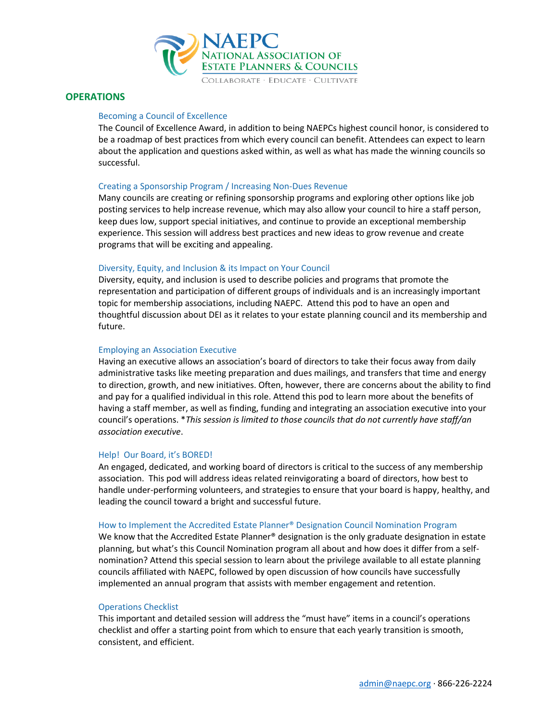

# **OPERATIONS**

# Becoming a Council of Excellence

The Council of Excellence Award, in addition to being NAEPCs highest council honor, is considered to be a roadmap of best practices from which every council can benefit. Attendees can expect to learn about the application and questions asked within, as well as what has made the winning councils so successful.

### Creating a Sponsorship Program / Increasing Non-Dues Revenue

Many councils are creating or refining sponsorship programs and exploring other options like job posting services to help increase revenue, which may also allow your council to hire a staff person, keep dues low, support special initiatives, and continue to provide an exceptional membership experience. This session will address best practices and new ideas to grow revenue and create programs that will be exciting and appealing.

### Diversity, Equity, and Inclusion & its Impact on Your Council

Diversity, equity, and inclusion is used to describe policies and programs that promote the representation and participation of different groups of individuals and is an increasingly important topic for membership associations, including NAEPC. Attend this pod to have an open and thoughtful discussion about DEI as it relates to your estate planning council and its membership and future.

#### Employing an Association Executive

Having an executive allows an association's board of directors to take their focus away from daily administrative tasks like meeting preparation and dues mailings, and transfers that time and energy to direction, growth, and new initiatives. Often, however, there are concerns about the ability to find and pay for a qualified individual in this role. Attend this pod to learn more about the benefits of having a staff member, as well as finding, funding and integrating an association executive into your council's operations. \**This session is limited to those councils that do not currently have staff/an association executive*.

#### Help! Our Board, it's BORED!

An engaged, dedicated, and working board of directors is critical to the success of any membership association. This pod will address ideas related reinvigorating a board of directors, how best to handle under-performing volunteers, and strategies to ensure that your board is happy, healthy, and leading the council toward a bright and successful future.

#### How to Implement the Accredited Estate Planner® Designation Council Nomination Program

We know that the Accredited Estate Planner® designation is the only graduate designation in estate planning, but what's this Council Nomination program all about and how does it differ from a selfnomination? Attend this special session to learn about the privilege available to all estate planning councils affiliated with NAEPC, followed by open discussion of how councils have successfully implemented an annual program that assists with member engagement and retention.

# Operations Checklist

This important and detailed session will address the "must have" items in a council's operations checklist and offer a starting point from which to ensure that each yearly transition is smooth, consistent, and efficient.